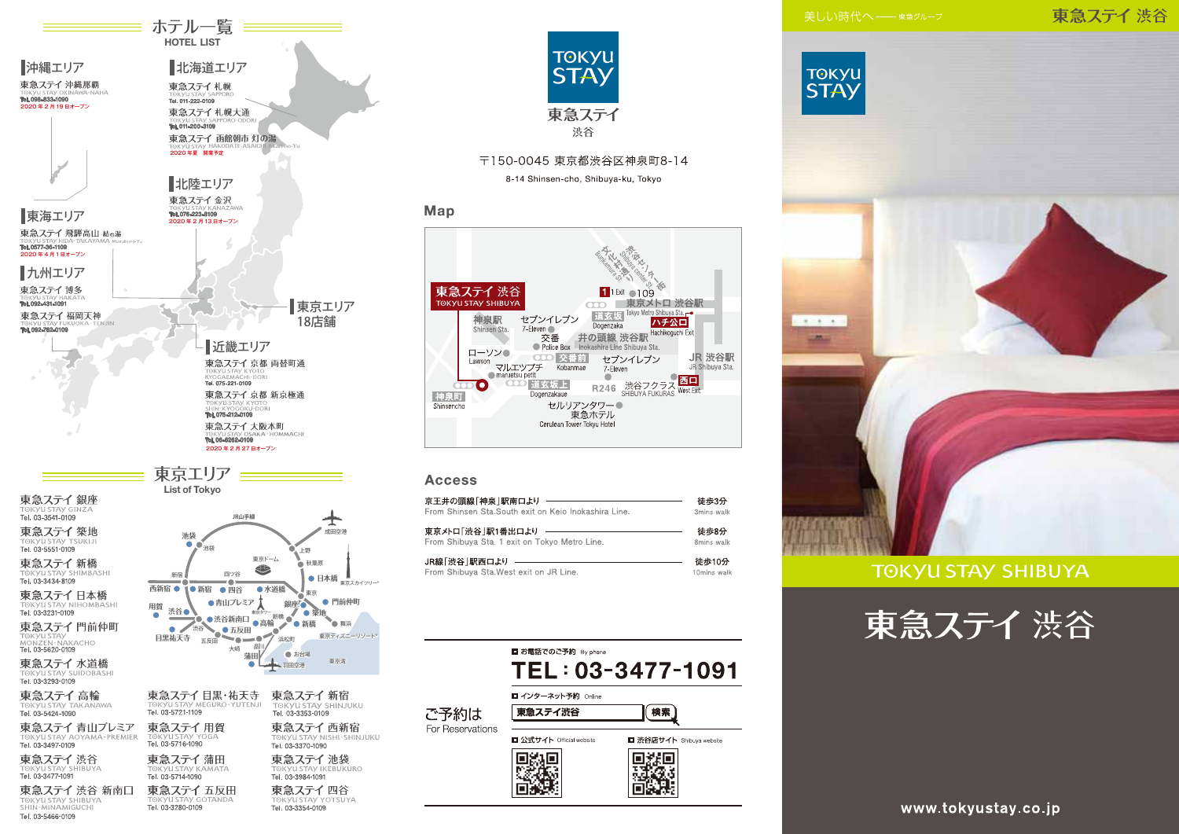# 東急ステイ渋谷



**TOKYU STAY SHIBUYA** 





≡ ホテル一覧 <del>≡≡</del> **HOTEL LIST** 

TORYUSTAY YU<br>**Tel. 03-5716-1090** Tel. 03-3497-0109 東急ステイ渋谷 東急ステイ蒲田 **SHIRIIVA** 

Tel. 03-3280-0109

Tel. 03-3477-1091 東急ステイ 渋谷 新南口

TOKYU STAY SHIBUYA Tel. 03-5466-0109

東京ディズニーリゾート **SHINJUKU** 東急ステイ 西新宿 TOKYU STAY NISHI-SHINJUKU Tel. 03-3370-1090 東急ステイ池袋 **GKVILSTAV IKERLIKLIRO** Tel. 03-5714-1090 Tel. 03-3984-1091 東急ステイ五反田 東急ステイ四谷

Tel. 03-3354-0109



〒150-0045 東京都渋谷区神泉町8-14

8-14 Shinsen-cho, Shibuya-ku, Tokyo

# Map



## **Access**

| 京王井の頭線「神泉  駅南口より                                     | 徒歩3分        |
|------------------------------------------------------|-------------|
| From Shinsen Sta.South exit on Keio Inokashira Line. | 3mins walk  |
| 東京メトロ「渋谷」駅1番出口より                                     | 徒歩8分        |
| From Shibuva Sta. 1 exit on Tokvo Metro Line.        | 8mins walk  |
| JR線「渋谷  駅西口より                                        | 徒歩10分       |
| From Shibuya Sta.West exit on JR Line.               | 10mins walk |





www.tokyustay.co.jp